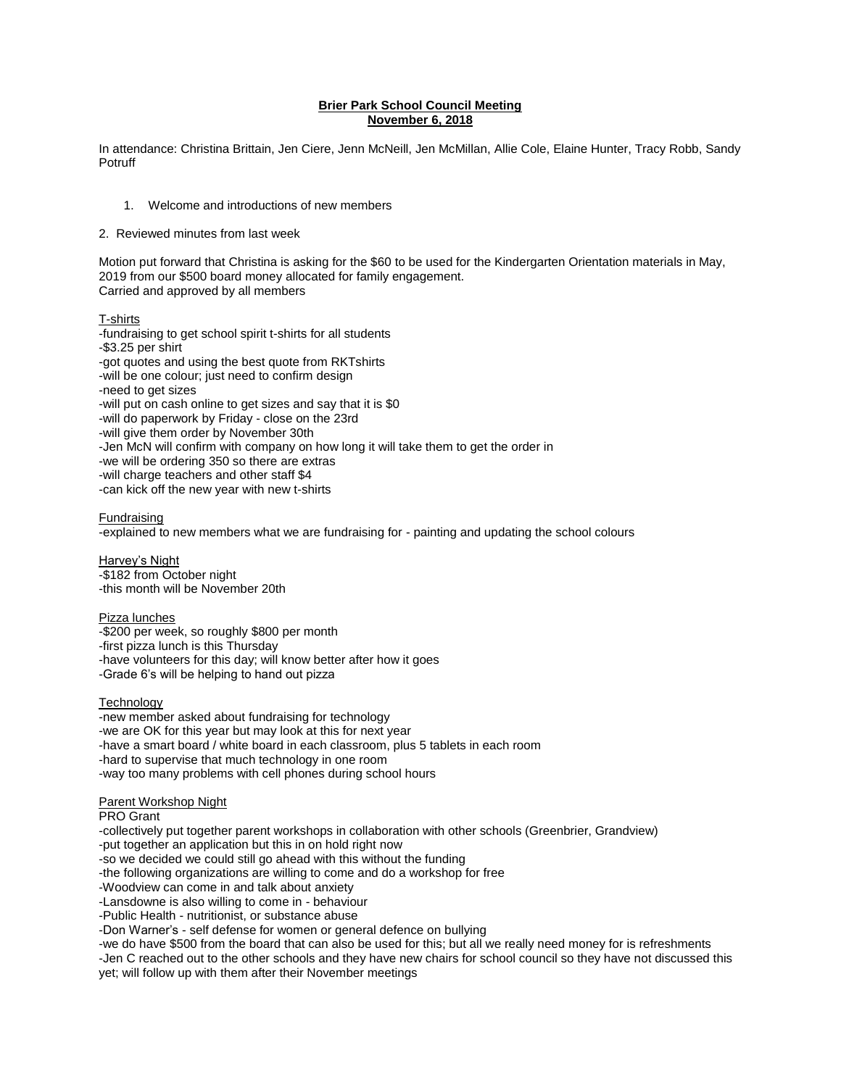## **Brier Park School Council Meeting November 6, 2018**

In attendance: Christina Brittain, Jen Ciere, Jenn McNeill, Jen McMillan, Allie Cole, Elaine Hunter, Tracy Robb, Sandy Potruff

1. Welcome and introductions of new members

2. Reviewed minutes from last week

Motion put forward that Christina is asking for the \$60 to be used for the Kindergarten Orientation materials in May, 2019 from our \$500 board money allocated for family engagement. Carried and approved by all members

T-shirts

-fundraising to get school spirit t-shirts for all students -\$3.25 per shirt -got quotes and using the best quote from RKTshirts -will be one colour; just need to confirm design -need to get sizes -will put on cash online to get sizes and say that it is \$0 -will do paperwork by Friday - close on the 23rd -will give them order by November 30th -Jen McN will confirm with company on how long it will take them to get the order in -we will be ordering 350 so there are extras -will charge teachers and other staff \$4 -can kick off the new year with new t-shirts

## Fundraising

-explained to new members what we are fundraising for - painting and updating the school colours

Harvey's Night -\$182 from October night -this month will be November 20th

## Pizza lunches

-\$200 per week, so roughly \$800 per month -first pizza lunch is this Thursday -have volunteers for this day; will know better after how it goes -Grade 6's will be helping to hand out pizza

## **Technology**

-new member asked about fundraising for technology -we are OK for this year but may look at this for next year -have a smart board / white board in each classroom, plus 5 tablets in each room -hard to supervise that much technology in one room -way too many problems with cell phones during school hours

#### Parent Workshop Night

## PRO Grant

-collectively put together parent workshops in collaboration with other schools (Greenbrier, Grandview) -put together an application but this in on hold right now -so we decided we could still go ahead with this without the funding -the following organizations are willing to come and do a workshop for free -Woodview can come in and talk about anxiety -Lansdowne is also willing to come in - behaviour -Public Health - nutritionist, or substance abuse -Don Warner's - self defense for women or general defence on bullying -we do have \$500 from the board that can also be used for this; but all we really need money for is refreshments -Jen C reached out to the other schools and they have new chairs for school council so they have not discussed this yet; will follow up with them after their November meetings